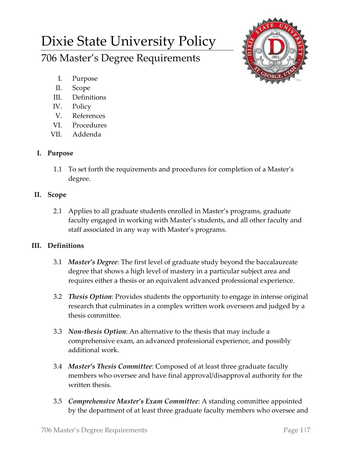# Dixie State University Policy

706 Master's Degree Requirements



- I. Purpose
- II. Scope
- III. Definitions
- IV. Policy
- V. References
- VI. Procedures
- VII. Addenda

## **I. Purpose**

1.1 To set forth the requirements and procedures for completion of a Master's degree.

## **II. Scope**

2.1 Applies to all graduate students enrolled in Master's programs, graduate faculty engaged in working with Master's students, and all other faculty and staff associated in any way with Master's programs.

## **III. Definitions**

- 3.1 *Master's Degree*: The first level of graduate study beyond the baccalaureate degree that shows a high level of mastery in a particular subject area and requires either a thesis or an equivalent advanced professional experience.
- 3.2 *Thesis Option*: Provides students the opportunity to engage in intense original research that culminates in a complex written work overseen and judged by a thesis committee.
- 3.3 *Non-thesis Option*: An alternative to the thesis that may include a comprehensive exam, an advanced professional experience, and possibly additional work.
- 3.4 *Master's Thesis Committee*: Composed of at least three graduate faculty members who oversee and have final approval/disapproval authority for the written thesis.
- 3.5 *Comprehensive Master's Exam Committee*: A standing committee appointed by the department of at least three graduate faculty members who oversee and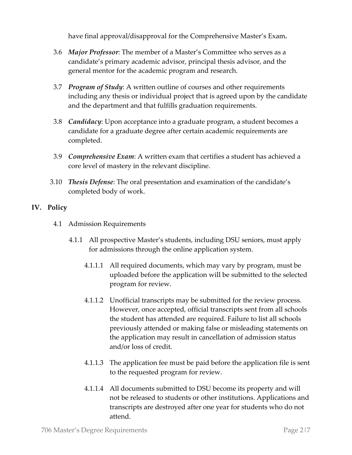have final approval/disapproval for the Comprehensive Master's Exam*.*

- 3.6 *Major Professor*: The member of a Master's Committee who serves as a candidate's primary academic advisor, principal thesis advisor, and the general mentor for the academic program and research.
- 3.7 *Program of Study*: A written outline of courses and other requirements including any thesis or individual project that is agreed upon by the candidate and the department and that fulfills graduation requirements.
- 3.8 *Candidacy*: Upon acceptance into a graduate program, a student becomes a candidate for a graduate degree after certain academic requirements are completed.
- 3.9 *Comprehensive Exam*: A written exam that certifies a student has achieved a core level of mastery in the relevant discipline.
- 3.10 *Thesis Defense*: The oral presentation and examination of the candidate's completed body of work.

### **IV. Policy**

- 4.1 Admission Requirements
	- 4.1.1 All prospective Master's students, including DSU seniors, must apply for admissions through the online application system.
		- 4.1.1.1 All required documents, which may vary by program, must be uploaded before the application will be submitted to the selected program for review.
		- 4.1.1.2 Unofficial transcripts may be submitted for the review process. However, once accepted, official transcripts sent from all schools the student has attended are required. Failure to list all schools previously attended or making false or misleading statements on the application may result in cancellation of admission status and/or loss of credit.
		- 4.1.1.3 The application fee must be paid before the application file is sent to the requested program for review.
		- 4.1.1.4 All documents submitted to DSU become its property and will not be released to students or other institutions. Applications and transcripts are destroyed after one year for students who do not attend.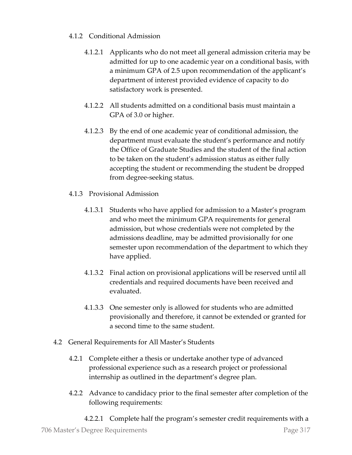#### 4.1.2 Conditional Admission

- 4.1.2.1 Applicants who do not meet all general admission criteria may be admitted for up to one academic year on a conditional basis, with a minimum GPA of 2.5 upon recommendation of the applicant's department of interest provided evidence of capacity to do satisfactory work is presented.
- 4.1.2.2 All students admitted on a conditional basis must maintain a GPA of 3.0 or higher.
- 4.1.2.3 By the end of one academic year of conditional admission, the department must evaluate the student's performance and notify the Office of Graduate Studies and the student of the final action to be taken on the student's admission status as either fully accepting the student or recommending the student be dropped from degree-seeking status.
- 4.1.3 Provisional Admission
	- 4.1.3.1 Students who have applied for admission to a Master's program and who meet the minimum GPA requirements for general admission, but whose credentials were not completed by the admissions deadline, may be admitted provisionally for one semester upon recommendation of the department to which they have applied.
	- 4.1.3.2 Final action on provisional applications will be reserved until all credentials and required documents have been received and evaluated.
	- 4.1.3.3 One semester only is allowed for students who are admitted provisionally and therefore, it cannot be extended or granted for a second time to the same student.
- 4.2 General Requirements for All Master's Students
	- 4.2.1 Complete either a thesis or undertake another type of advanced professional experience such as a research project or professional internship as outlined in the department's degree plan.
	- 4.2.2 Advance to candidacy prior to the final semester after completion of the following requirements:

706 Master's Degree Requirements Page 3|7 4.2.2.1 Complete half the program's semester credit requirements with a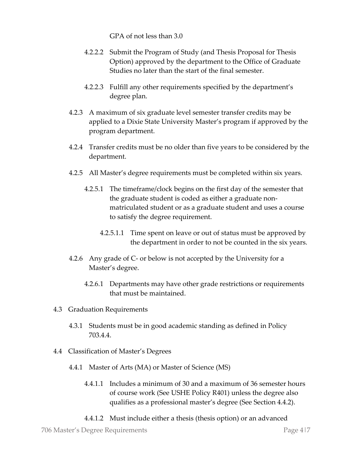GPA of not less than 3.0

- 4.2.2.2 Submit the Program of Study (and Thesis Proposal for Thesis Option) approved by the department to the Office of Graduate Studies no later than the start of the final semester.
- 4.2.2.3 Fulfill any other requirements specified by the department's degree plan.
- 4.2.3 A maximum of six graduate level semester transfer credits may be applied to a Dixie State University Master's program if approved by the program department.
- 4.2.4 Transfer credits must be no older than five years to be considered by the department.
- 4.2.5 All Master's degree requirements must be completed within six years.
	- 4.2.5.1 The timeframe/clock begins on the first day of the semester that the graduate student is coded as either a graduate nonmatriculated student or as a graduate student and uses a course to satisfy the degree requirement.
		- 4.2.5.1.1 Time spent on leave or out of status must be approved by the department in order to not be counted in the six years.
- 4.2.6 Any grade of C- or below is not accepted by the University for a Master's degree.
	- 4.2.6.1 Departments may have other grade restrictions or requirements that must be maintained.
- 4.3 Graduation Requirements
	- 4.3.1 Students must be in good academic standing as defined in Policy 703.4.4.
- 4.4 Classification of Master's Degrees
	- 4.4.1 Master of Arts (MA) or Master of Science (MS)
		- 4.4.1.1 Includes a minimum of 30 and a maximum of 36 semester hours of course work (See USHE Policy R401) unless the degree also qualifies as a professional master's degree (See Section 4.4.2).
		- 4.4.1.2 Must include either a thesis (thesis option) or an advanced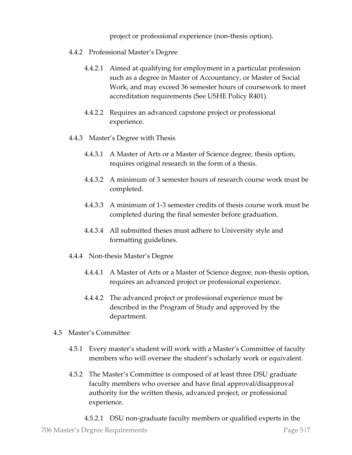project or professional experience (non-thesis option).

- 4.4.2 Professional Master's Degree
	- 4.4.2.1 Aimed at qualifying for employment in a particular profession such as a degree in Master of Accountancy, or Master of Social Work, and may exceed 36 semester hours of coursework to meet accreditation requirements (See USHE Policy R401).
	- 4.4.2.2 Requires an advanced capstone project or professional experience.
- 4.4.3 Master's Degree with Thesis
	- 4.4.3.1 A Master of Arts or a Master of Science degree, thesis option, requires original research in the form of a thesis.
	- 4.4.3.2 A minimum of 3 semester hours of research course work must be completed.
	- 4.4.3.3 A minimum of 1-3 semester credits of thesis course work must be completed during the final semester before graduation.
	- 4.4.3.4 All submitted theses must adhere to University style and formatting guidelines.
- 4.4.4 Non-thesis Master's Degree
	- 4.4.4.1 A Master of Arts or a Master of Science degree, non-thesis option, requires an advanced project or professional experience.
	- 4.4.4.2 The advanced project or professional experience must be described in the Program of Study and approved by the department.
- 4.5 Master's Committee
	- 4.5.1 Every master's student will work with a Master's Committee of faculty members who will oversee the student's scholarly work or equivalent.
	- 4.5.2 The Master's Committee is composed of at least three DSU graduate faculty members who oversee and have final approval/disapproval authority for the written thesis, advanced project, or professional experience.
		- 4.5.2.1 DSU non-graduate faculty members or qualified experts in the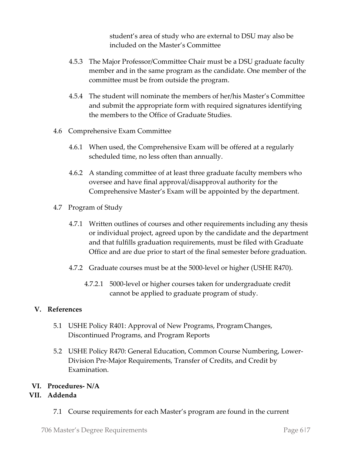student's area of study who are external to DSU may also be included on the Master's Committee

- 4.5.3 The Major Professor/Committee Chair must be a DSU graduate faculty member and in the same program as the candidate. One member of the committee must be from outside the program.
- 4.5.4 The student will nominate the members of her/his Master's Committee and submit the appropriate form with required signatures identifying the members to the Office of Graduate Studies.
- 4.6 Comprehensive Exam Committee
	- 4.6.1 When used, the Comprehensive Exam will be offered at a regularly scheduled time, no less often than annually.
	- 4.6.2 A standing committee of at least three graduate faculty members who oversee and have final approval/disapproval authority for the Comprehensive Master's Exam will be appointed by the department.
- 4.7 Program of Study
	- 4.7.1 Written outlines of courses and other requirements including any thesis or individual project, agreed upon by the candidate and the department and that fulfills graduation requirements, must be filed with Graduate Office and are due prior to start of the final semester before graduation.
	- 4.7.2 Graduate courses must be at the 5000-level or higher (USHE R470).
		- 4.7.2.1 5000-level or higher courses taken for undergraduate credit cannot be applied to graduate program of study.

#### **V. References**

- 5.1 USHE Policy R401: Approval of New Programs, ProgramChanges, Discontinued Programs, and Program Reports
- 5.2 USHE Policy R470: General Education, Common Course Numbering, Lower-Division Pre-Major Requirements, Transfer of Credits, and Credit by Examination.

### **VI. Procedures- N/A**

### **VII. Addenda**

7.1 Course requirements for each Master's program are found in the current